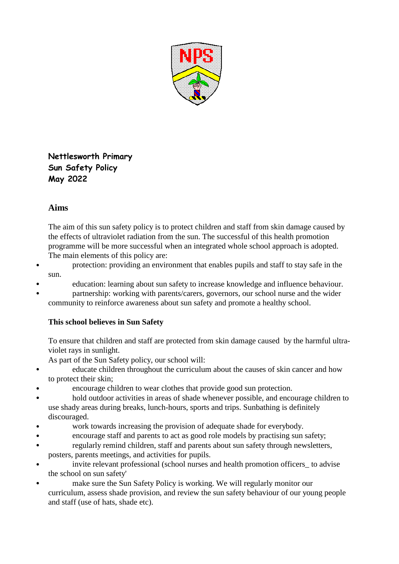

**Nettlesworth Primary Sun Safety Policy May 2022**

## **Aims**

The aim of this sun safety policy is to protect children and staff from skin damage caused by the effects of ultraviolet radiation from the sun. The successful of this health promotion programme will be more successful when an integrated whole school approach is adopted. The main elements of this policy are:

- protection: providing an environment that enables pupils and staff to stay safe in the sun.
- education: learning about sun safety to increase knowledge and influence behaviour.
- partnership: working with parents/carers, governors, our school nurse and the wider community to reinforce awareness about sun safety and promote a healthy school.

## **This school believes in Sun Safety**

To ensure that children and staff are protected from skin damage caused by the harmful ultraviolet rays in sunlight.

As part of the Sun Safety policy, our school will:

- educate children throughout the curriculum about the causes of skin cancer and how to protect their skin;
- encourage children to wear clothes that provide good sun protection.
- hold outdoor activities in areas of shade whenever possible, and encourage children to use shady areas during breaks, lunch-hours, sports and trips. Sunbathing is definitely discouraged.
- work towards increasing the provision of adequate shade for everybody.
- encourage staff and parents to act as good role models by practising sun safety;
- regularly remind children, staff and parents about sun safety through newsletters, posters, parents meetings, and activities for pupils.
- invite relevant professional (school nurses and health promotion officers\_ to advise the school on sun safety'
- make sure the Sun Safety Policy is working. We will regularly monitor our curriculum, assess shade provision, and review the sun safety behaviour of our young people and staff (use of hats, shade etc).